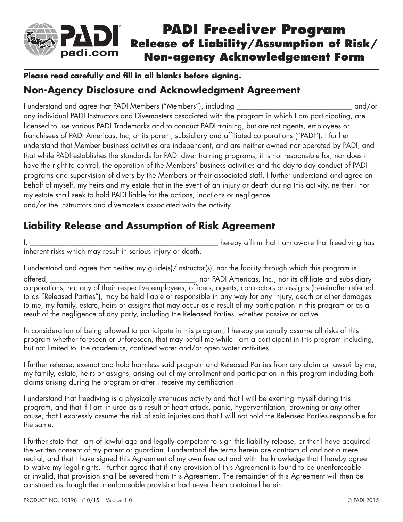

## **Please read carefully and fill in all blanks before signing.**

## **Non-Agency Disclosure and Acknowledgment Agreement**

I understand and agree that PADI Members ("Members"), including \_\_\_\_\_\_\_\_\_\_\_\_\_\_\_\_\_\_\_\_\_\_\_\_\_\_\_\_\_\_\_\_ and/or any individual PADI Instructors and Divemasters associated with the program in which I am participating, are licensed to use various PADI Trademarks and to conduct PADI training, but are not agents, employees or franchisees of PADI Americas, Inc, or its parent, subsidiary and affiliated corporations ("PADI"). I further understand that Member business activities are independent, and are neither owned nor operated by PADI, and that while PADI establishes the standards for PADI diver training programs, it is not responsible for, nor does it have the right to control, the operation of the Members' business activities and the day-to-day conduct of PADI programs and supervision of divers by the Members or their associated staff. I further understand and agree on behalf of myself, my heirs and my estate that in the event of an injury or death during this activity, neither I nor my estate shall seek to hold PADI liable for the actions, inactions or negligence \_ and/or the instructors and divemasters associated with the activity.

## **Liability Release and Assumption of Risk Agreement**

I, \_\_\_\_\_\_\_\_\_\_\_\_\_\_\_\_\_\_\_\_\_\_\_\_\_\_\_\_\_\_\_\_\_\_\_\_\_\_\_\_\_\_\_\_\_\_\_\_\_\_\_\_ hereby affirm that I am aware that freediving has inherent risks which may result in serious injury or death.

I understand and agree that neither my guide(s)/instructor(s), nor the facility through which this program is offered, etc., nor of the matrice of the state of the state of the state of the state of the state of the state of the state of the state of the state of the state of the state of the state of the state of the state of the corporations, nor any of their respective employees, officers, agents, contractors or assigns (hereinafter referred to as "Released Parties"), may be held liable or responsible in any way for any injury, death or other damages to me, my family, estate, heirs or assigns that may occur as a result of my participation in this program or as a result of the negligence of any party, including the Released Parties, whether passive or active.

In consideration of being allowed to participate in this program, I hereby personally assume all risks of this program whether foreseen or unforeseen, that may befall me while I am a participant in this program including, but not limited to, the academics, confined water and/or open water activities.

I further release, exempt and hold harmless said program and Released Parties from any claim or lawsuit by me, my family, estate, heirs or assigns, arising out of my enrollment and participation in this program including both claims arising during the program or after I receive my certification.

I understand that freediving is a physically strenuous activity and that I will be exerting myself during this program, and that if I am injured as a result of heart attack, panic, hyperventilation, drowning or any other cause, that I expressly assume the risk of said injuries and that I will not hold the Released Parties responsible for the same.

I further state that I am of lawful age and legally competent to sign this liability release, or that I have acquired the written consent of my parent or guardian. I understand the terms herein are contractual and not a mere recital, and that I have signed this Agreement of my own free act and with the knowledge that I hereby agree to waive my legal rights. I further agree that if any provision of this Agreement is found to be unenforceable or invalid, that provision shall be severed from this Agreement. The remainder of this Agreement will then be construed as though the unenforceable provision had never been contained herein.